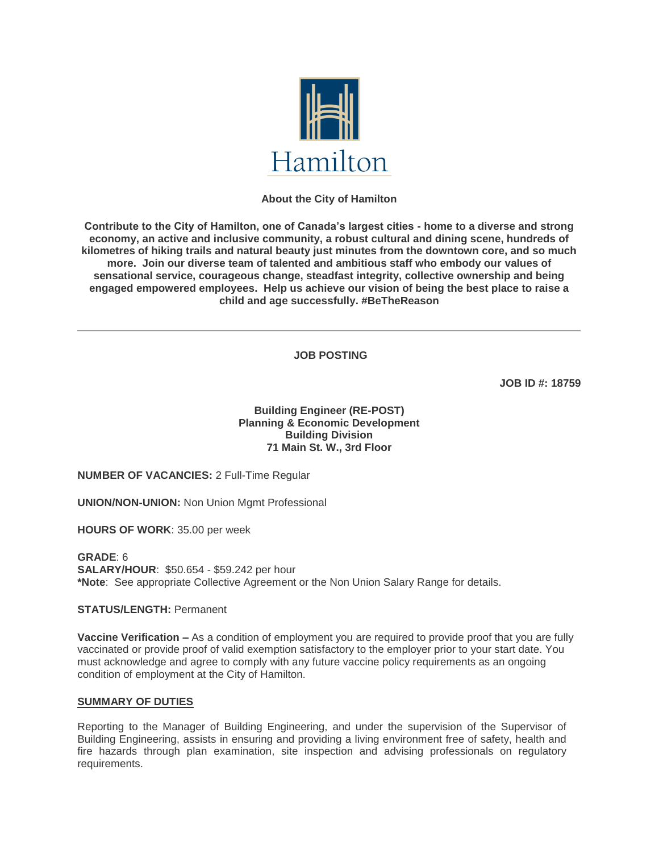

# **About the City of Hamilton**

**Contribute to the City of Hamilton, one of Canada's largest cities - home to a diverse and strong economy, an active and inclusive community, a robust cultural and dining scene, hundreds of kilometres of hiking trails and natural beauty just minutes from the downtown core, and so much more. Join our diverse team of talented and ambitious staff who embody our values of sensational service, courageous change, steadfast integrity, collective ownership and being engaged empowered employees. Help us achieve our vision of being the best place to raise a child and age successfully. #BeTheReason** 

**JOB POSTING**

**JOB ID #: 18759**

**Building Engineer (RE-POST) Planning & Economic Development Building Division 71 Main St. W., 3rd Floor**

**NUMBER OF VACANCIES:** 2 Full-Time Regular

**UNION/NON-UNION:** Non Union Mgmt Professional

**HOURS OF WORK**: 35.00 per week

**GRADE**: 6 **SALARY/HOUR**: \$50.654 - \$59.242 per hour **\*Note**: See appropriate Collective Agreement or the Non Union Salary Range for details.

**STATUS/LENGTH:** Permanent

**Vaccine Verification –** As a condition of employment you are required to provide proof that you are fully vaccinated or provide proof of valid exemption satisfactory to the employer prior to your start date. You must acknowledge and agree to comply with any future vaccine policy requirements as an ongoing condition of employment at the City of Hamilton.

## **SUMMARY OF DUTIES**

Reporting to the Manager of Building Engineering, and under the supervision of the Supervisor of Building Engineering, assists in ensuring and providing a living environment free of safety, health and fire hazards through plan examination, site inspection and advising professionals on regulatory requirements.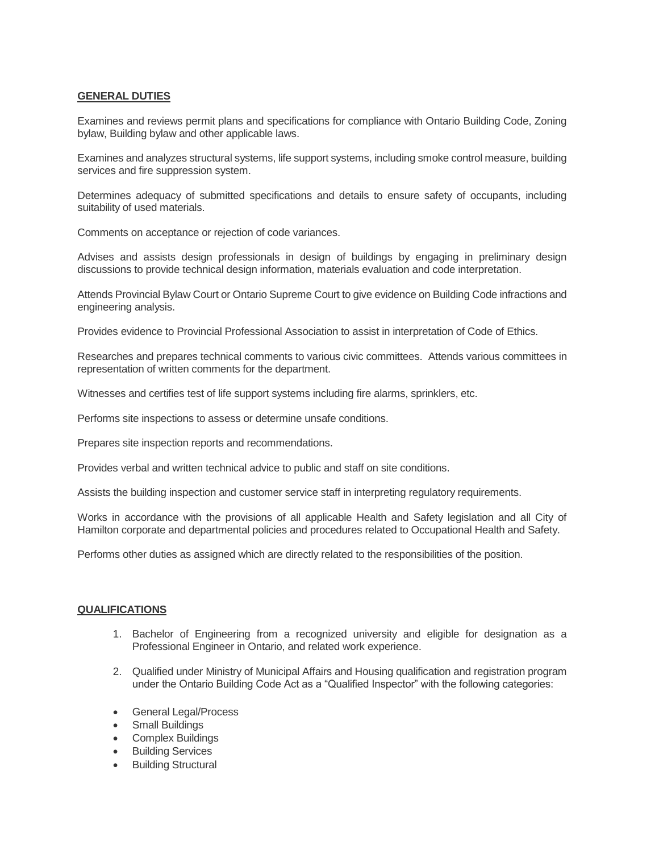## **GENERAL DUTIES**

Examines and reviews permit plans and specifications for compliance with Ontario Building Code, Zoning bylaw, Building bylaw and other applicable laws.

Examines and analyzes structural systems, life support systems, including smoke control measure, building services and fire suppression system.

Determines adequacy of submitted specifications and details to ensure safety of occupants, including suitability of used materials.

Comments on acceptance or rejection of code variances.

Advises and assists design professionals in design of buildings by engaging in preliminary design discussions to provide technical design information, materials evaluation and code interpretation.

Attends Provincial Bylaw Court or Ontario Supreme Court to give evidence on Building Code infractions and engineering analysis.

Provides evidence to Provincial Professional Association to assist in interpretation of Code of Ethics.

Researches and prepares technical comments to various civic committees. Attends various committees in representation of written comments for the department.

Witnesses and certifies test of life support systems including fire alarms, sprinklers, etc.

Performs site inspections to assess or determine unsafe conditions.

Prepares site inspection reports and recommendations.

Provides verbal and written technical advice to public and staff on site conditions.

Assists the building inspection and customer service staff in interpreting regulatory requirements.

Works in accordance with the provisions of all applicable Health and Safety legislation and all City of Hamilton corporate and departmental policies and procedures related to Occupational Health and Safety.

Performs other duties as assigned which are directly related to the responsibilities of the position.

## **QUALIFICATIONS**

- 1. Bachelor of Engineering from a recognized university and eligible for designation as a Professional Engineer in Ontario, and related work experience.
- 2. Qualified under Ministry of Municipal Affairs and Housing qualification and registration program under the Ontario Building Code Act as a "Qualified Inspector" with the following categories:
- General Legal/Process
- **Small Buildings**
- Complex Buildings
- Building Services
- Building Structural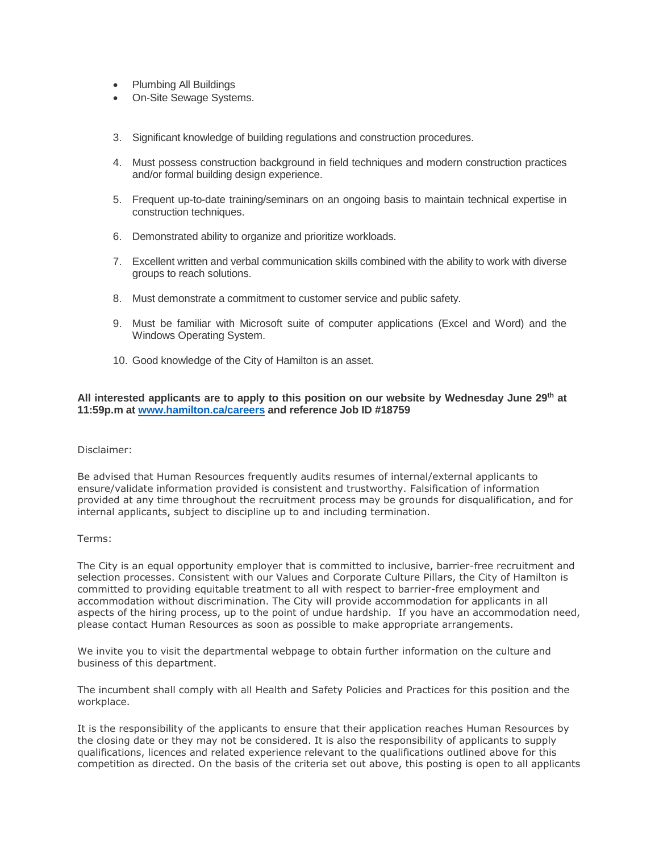- Plumbing All Buildings
- On-Site Sewage Systems.
- 3. Significant knowledge of building regulations and construction procedures.
- 4. Must possess construction background in field techniques and modern construction practices and/or formal building design experience.
- 5. Frequent up-to-date training/seminars on an ongoing basis to maintain technical expertise in construction techniques.
- 6. Demonstrated ability to organize and prioritize workloads.
- 7. Excellent written and verbal communication skills combined with the ability to work with diverse groups to reach solutions.
- 8. Must demonstrate a commitment to customer service and public safety.
- 9. Must be familiar with Microsoft suite of computer applications (Excel and Word) and the Windows Operating System.
- 10. Good knowledge of the City of Hamilton is an asset.

## **All interested applicants are to apply to this position on our website by Wednesday June 29th at 11:59p.m at [www.hamilton.ca/careers](http://www.hamilton.ca/careers) and reference Job ID #18759**

#### Disclaimer:

Be advised that Human Resources frequently audits resumes of internal/external applicants to ensure/validate information provided is consistent and trustworthy. Falsification of information provided at any time throughout the recruitment process may be grounds for disqualification, and for internal applicants, subject to discipline up to and including termination.

#### Terms:

The City is an equal opportunity employer that is committed to inclusive, barrier-free recruitment and selection processes. Consistent with our Values and Corporate Culture Pillars, the City of Hamilton is committed to providing equitable treatment to all with respect to barrier-free employment and accommodation without discrimination. The City will provide accommodation for applicants in all aspects of the hiring process, up to the point of undue hardship. If you have an accommodation need, please contact Human Resources as soon as possible to make appropriate arrangements.

We invite you to visit the departmental webpage to obtain further information on the culture and business of this department.

The incumbent shall comply with all Health and Safety Policies and Practices for this position and the workplace.

It is the responsibility of the applicants to ensure that their application reaches Human Resources by the closing date or they may not be considered. It is also the responsibility of applicants to supply qualifications, licences and related experience relevant to the qualifications outlined above for this competition as directed. On the basis of the criteria set out above, this posting is open to all applicants